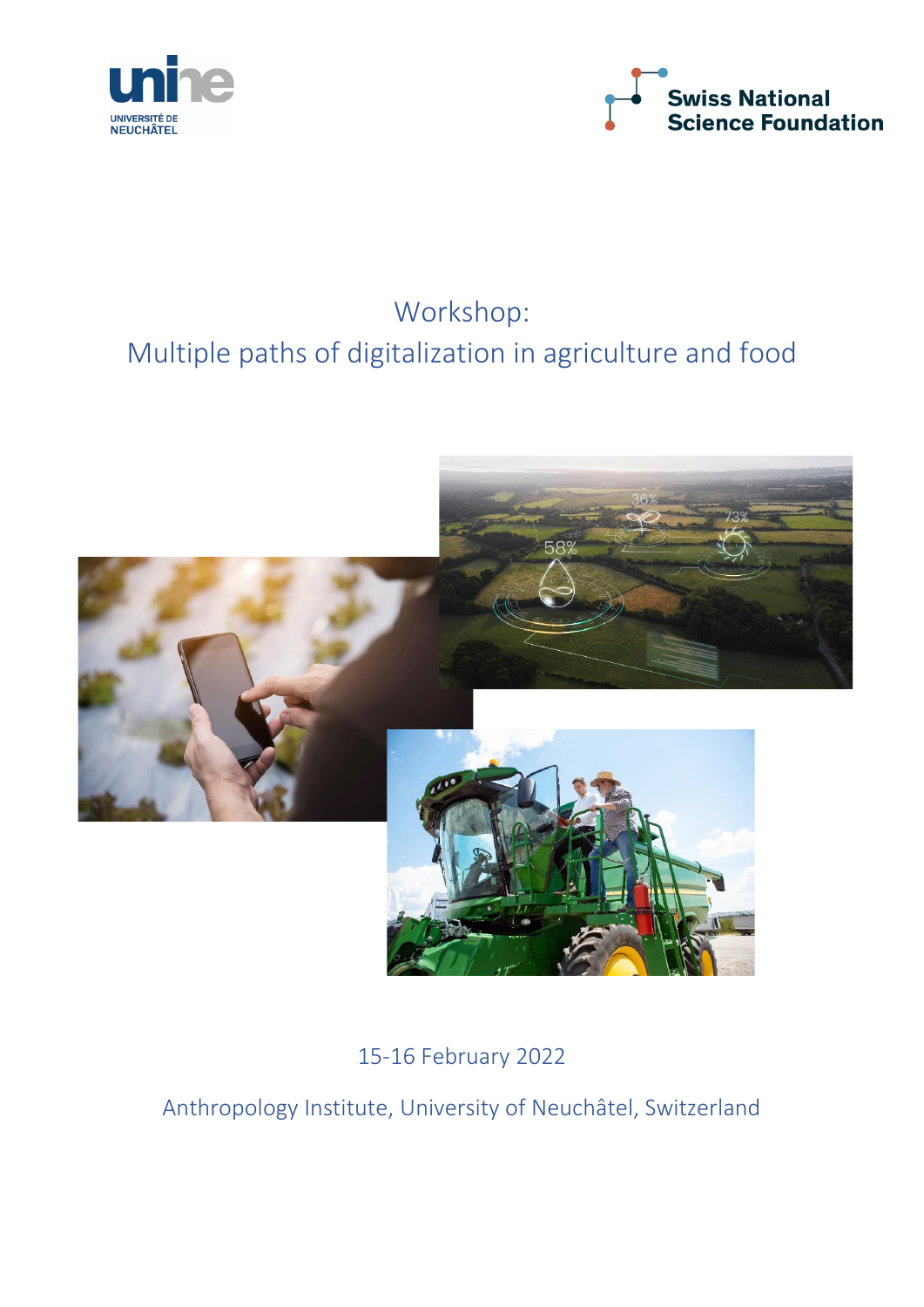



# Workshop: Multiple paths of digitalization in agriculture and food



15-16 February 2022

Anthropology Institute, University of Neuchâtel, Switzerland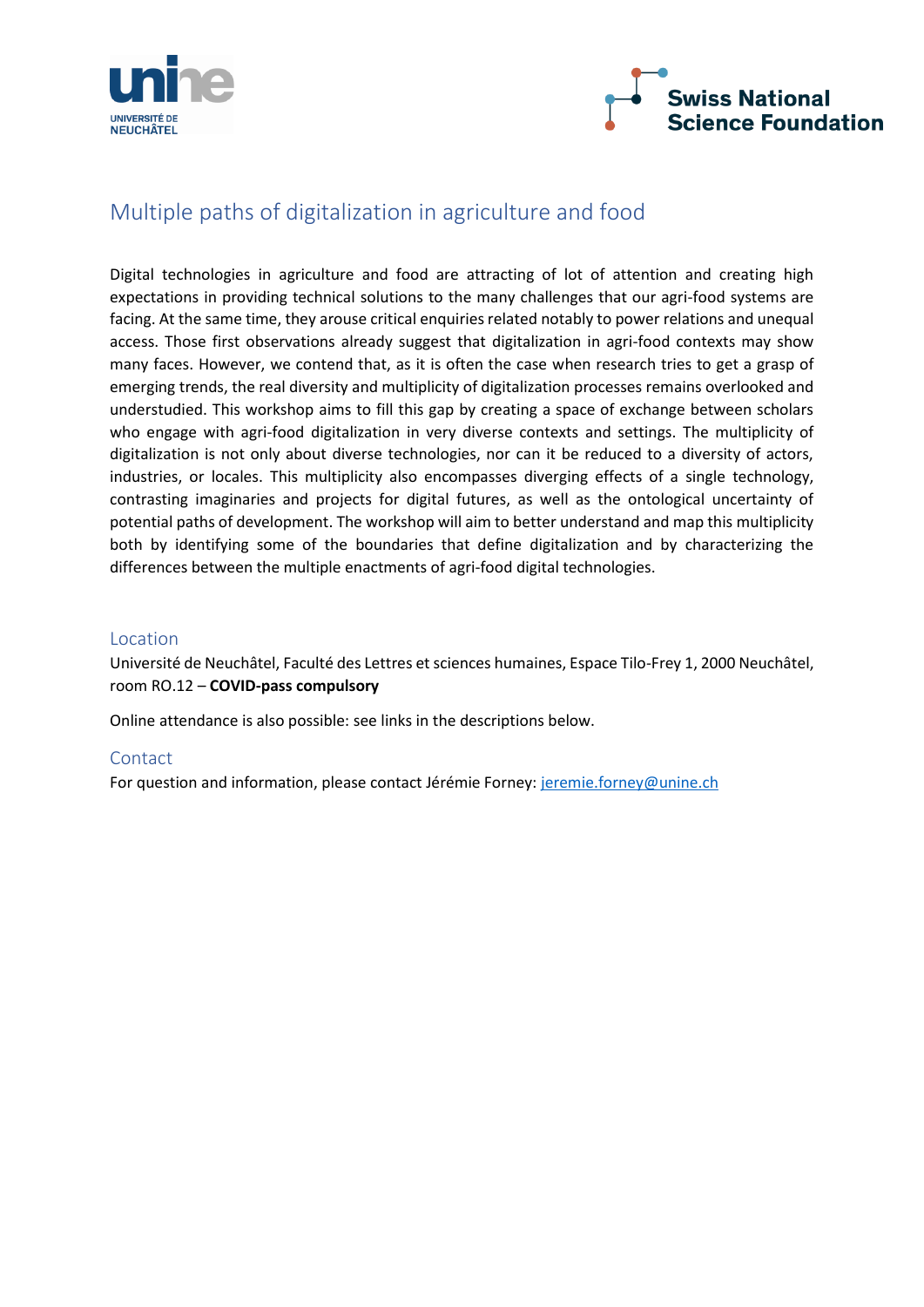



## Multiple paths of digitalization in agriculture and food

Digital technologies in agriculture and food are attracting of lot of attention and creating high expectations in providing technical solutions to the many challenges that our agri-food systems are facing. At the same time, they arouse critical enquiries related notably to power relations and unequal access. Those first observations already suggest that digitalization in agri-food contexts may show many faces. However, we contend that, as it is often the case when research tries to get a grasp of emerging trends, the real diversity and multiplicity of digitalization processes remains overlooked and understudied. This workshop aims to fill this gap by creating a space of exchange between scholars who engage with agri-food digitalization in very diverse contexts and settings. The multiplicity of digitalization is not only about diverse technologies, nor can it be reduced to a diversity of actors, industries, or locales. This multiplicity also encompasses diverging effects of a single technology, contrasting imaginaries and projects for digital futures, as well as the ontological uncertainty of potential paths of development. The workshop will aim to better understand and map this multiplicity both by identifying some of the boundaries that define digitalization and by characterizing the differences between the multiple enactments of agri-food digital technologies.

#### Location

Université de Neuchâtel, Faculté des Lettres et sciences humaines, Espace Tilo-Frey 1, 2000 Neuchâtel, room RO.12 – **COVID-pass compulsory**

Online attendance is also possible: see links in the descriptions below.

### **Contact**

For question and information, please contact Jérémie Forney: [jeremie.forney@unine.ch](mailto:jeremie.forney@unine.ch)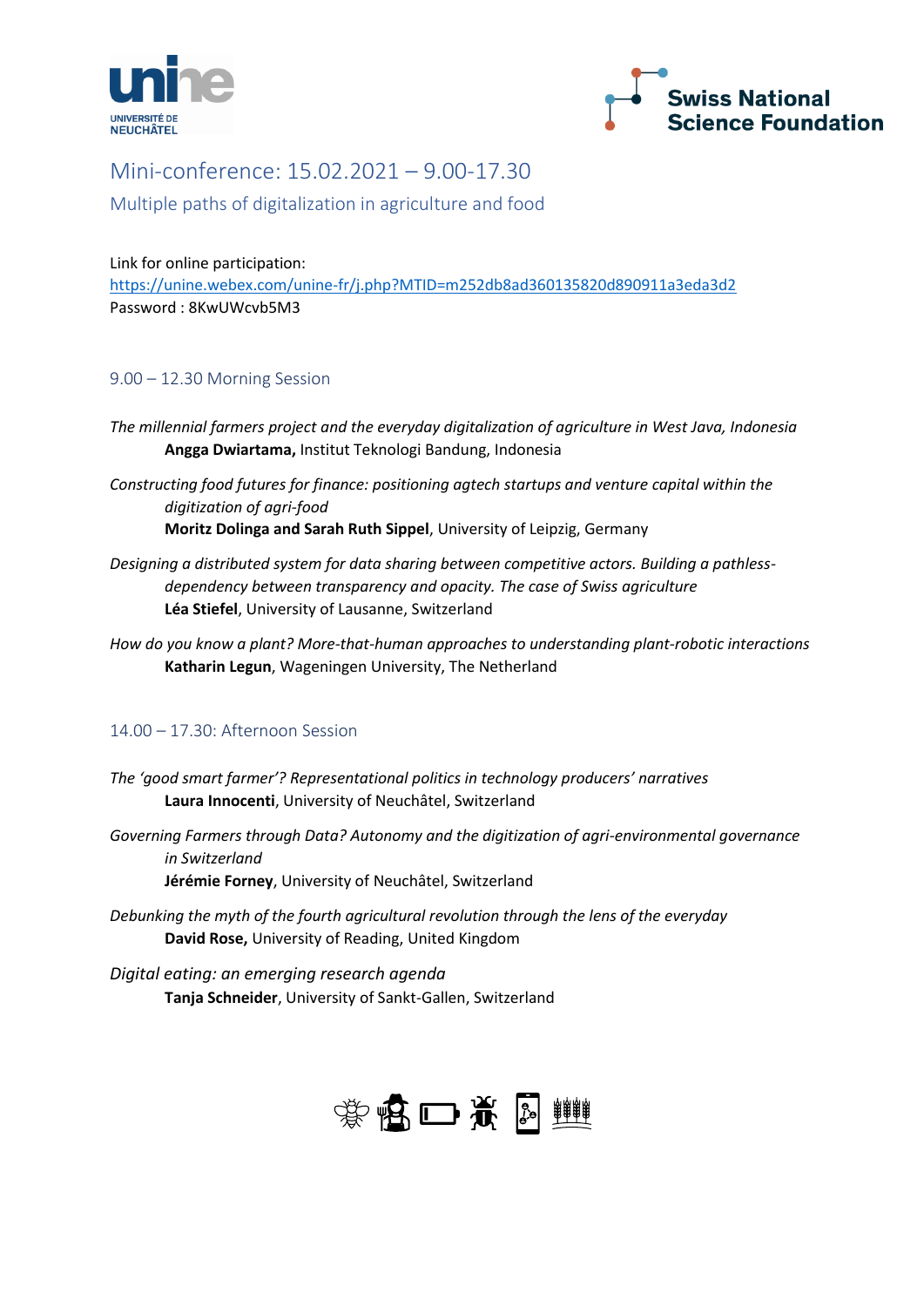



## Mini-conference: 15.02.2021 – 9.00-17.30

Multiple paths of digitalization in agriculture and food

Link for online participation: <https://unine.webex.com/unine-fr/j.php?MTID=m252db8ad360135820d890911a3eda3d2> Password : 8KwUWcvb5M3

## 9.00 – 12.30 Morning Session

- *The millennial farmers project and the everyday digitalization of agriculture in West Java, Indonesia* **Angga Dwiartama,** Institut Teknologi Bandung, Indonesia
- *Constructing food futures for finance: positioning agtech startups and venture capital within the digitization of agri-food* **Moritz Dolinga and Sarah Ruth Sippel**, University of Leipzig, Germany
- *Designing a distributed system for data sharing between competitive actors. Building a pathlessdependency between transparency and opacity. The case of Swiss agriculture* **Léa Stiefel**, University of Lausanne, Switzerland
- *How do you know a plant? More-that-human approaches to understanding plant-robotic interactions* **Katharin Legun**, Wageningen University, The Netherland

## 14.00 – 17.30: Afternoon Session

- *The 'good smart farmer'? Representational politics in technology producers' narratives* **Laura Innocenti**, University of Neuchâtel, Switzerland
- *Governing Farmers through Data? Autonomy and the digitization of agri-environmental governance in Switzerland*

**Jérémie Forney**, University of Neuchâtel, Switzerland

*Debunking the myth of the fourth agricultural revolution through the lens of the everyday* **David Rose,** University of Reading, United Kingdom

*Digital eating: an emerging research agenda* **Tanja Schneider**, University of Sankt-Gallen, Switzerland